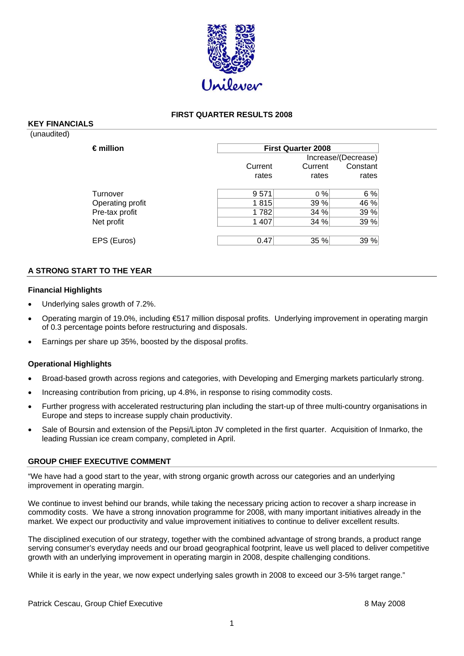

# **FIRST QUARTER RESULTS 2008**

### **KEY FINANCIALS**

(unaudited)

| $\epsilon$ million |         | <b>First Quarter 2008</b><br>Increase/(Decrease) |          |  |  |
|--------------------|---------|--------------------------------------------------|----------|--|--|
|                    |         |                                                  |          |  |  |
|                    | Current | Current                                          | Constant |  |  |
|                    | rates   | rates                                            | rates    |  |  |
| Turnover           | 9571    | $0\%$                                            | 6%       |  |  |
| Operating profit   | 1815    | 39 %                                             | 46 %     |  |  |
| Pre-tax profit     | 1782    | 34 %                                             | 39%      |  |  |
| Net profit         | 1 407   | 34 %                                             | 39%      |  |  |
|                    |         |                                                  |          |  |  |
| EPS (Euros)        | 0.47    | 35 %                                             | 39%      |  |  |

# **A STRONG START TO THE YEAR**

# **Financial Highlights**

- Underlying sales growth of 7.2%.
- Operating margin of 19.0%, including €517 million disposal profits. Underlying improvement in operating margin of 0.3 percentage points before restructuring and disposals.
- Earnings per share up 35%, boosted by the disposal profits.

# **Operational Highlights**

- Broad-based growth across regions and categories, with Developing and Emerging markets particularly strong.
- Increasing contribution from pricing, up 4.8%, in response to rising commodity costs.
- Further progress with accelerated restructuring plan including the start-up of three multi-country organisations in Europe and steps to increase supply chain productivity.
- Sale of Boursin and extension of the Pepsi/Lipton JV completed in the first quarter. Acquisition of Inmarko, the leading Russian ice cream company, completed in April.

### **GROUP CHIEF EXECUTIVE COMMENT**

"We have had a good start to the year, with strong organic growth across our categories and an underlying improvement in operating margin.

We continue to invest behind our brands, while taking the necessary pricing action to recover a sharp increase in commodity costs. We have a strong innovation programme for 2008, with many important initiatives already in the market. We expect our productivity and value improvement initiatives to continue to deliver excellent results.

The disciplined execution of our strategy, together with the combined advantage of strong brands, a product range serving consumer's everyday needs and our broad geographical footprint, leave us well placed to deliver competitive growth with an underlying improvement in operating margin in 2008, despite challenging conditions.

While it is early in the year, we now expect underlying sales growth in 2008 to exceed our 3-5% target range."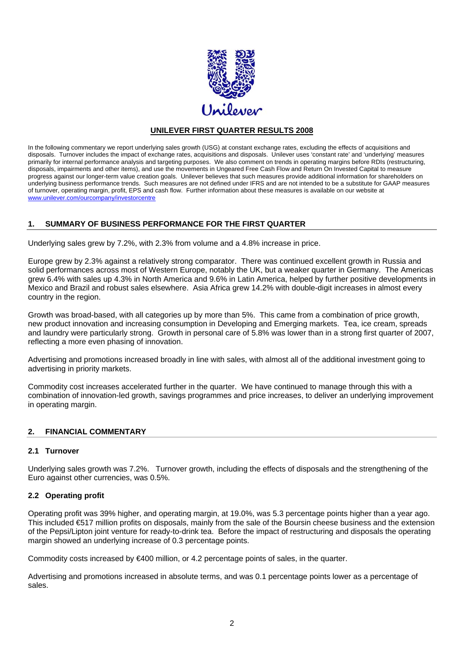

# **UNILEVER FIRST QUARTER RESULTS 2008**

In the following commentary we report underlying sales growth (USG) at constant exchange rates, excluding the effects of acquisitions and disposals. Turnover includes the impact of exchange rates, acquisitions and disposals. Unilever uses 'constant rate' and 'underlying' measures primarily for internal performance analysis and targeting purposes. We also comment on trends in operating margins before RDIs (restructuring, disposals, impairments and other items), and use the movements in Ungeared Free Cash Flow and Return On Invested Capital to measure progress against our longer-term value creation goals. Unilever believes that such measures provide additional information for shareholders on underlying business performance trends. Such measures are not defined under IFRS and are not intended to be a substitute for GAAP measures of turnover, operating margin, profit, EPS and cash flow. Further information about these measures is available on our website at www.unilever.com/ourcompany/investorcentre

# **1. SUMMARY OF BUSINESS PERFORMANCE FOR THE FIRST QUARTER**

Underlying sales grew by 7.2%, with 2.3% from volume and a 4.8% increase in price.

Europe grew by 2.3% against a relatively strong comparator. There was continued excellent growth in Russia and solid performances across most of Western Europe, notably the UK, but a weaker quarter in Germany. The Americas grew 6.4% with sales up 4.3% in North America and 9.6% in Latin America, helped by further positive developments in Mexico and Brazil and robust sales elsewhere. Asia Africa grew 14.2% with double-digit increases in almost every country in the region.

Growth was broad-based, with all categories up by more than 5%. This came from a combination of price growth, new product innovation and increasing consumption in Developing and Emerging markets. Tea, ice cream, spreads and laundry were particularly strong. Growth in personal care of 5.8% was lower than in a strong first quarter of 2007, reflecting a more even phasing of innovation.

Advertising and promotions increased broadly in line with sales, with almost all of the additional investment going to advertising in priority markets.

Commodity cost increases accelerated further in the quarter. We have continued to manage through this with a combination of innovation-led growth, savings programmes and price increases, to deliver an underlying improvement in operating margin.

# **2. FINANCIAL COMMENTARY**

### **2.1 Turnover**

Underlying sales growth was 7.2%. Turnover growth, including the effects of disposals and the strengthening of the Euro against other currencies, was 0.5%.

### **2.2 Operating profit**

 of the Pepsi/Lipton joint venture for ready-to-drink tea. Before the impact of restructuring and disposals the operating Operating profit was 39% higher, and operating margin, at 19.0%, was 5.3 percentage points higher than a year ago. This included €517 million profits on disposals, mainly from the sale of the Boursin cheese business and the extension margin showed an underlying increase of 0.3 percentage points.

Commodity costs increased by  $\in 400$  million, or 4.2 percentage points of sales, in the quarter.

Advertising and promotions increased in absolute terms, and was 0.1 percentage points lower as a percentage of sales.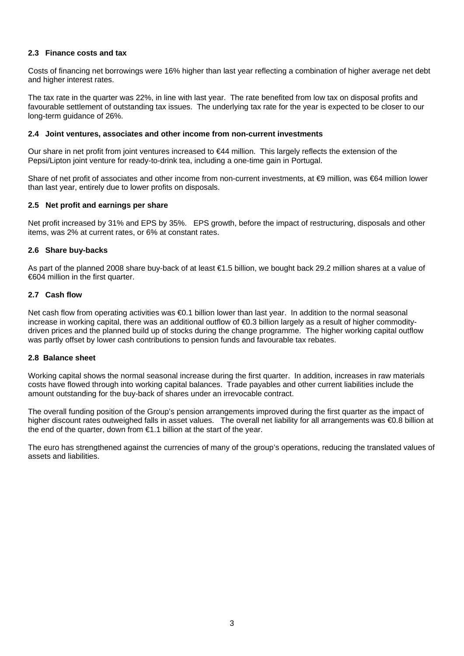# **2.3 Finance costs and tax**

Costs of financing net borrowings were 16% higher than last year reflecting a combination of higher average net debt and higher interest rates.

The tax rate in the quarter was 22%, in line with last year. The rate benefited from low tax on disposal profits and favourable settlement of outstanding tax issues. The underlying tax rate for the year is expected to be closer to our long-term guidance of 26%.

# **2.4 Joint ventures, associates and other income from non-current investments**

Our share in net profit from joint ventures increased to  $€44$  million. This largely reflects the extension of the Pepsi/Lipton joint venture for ready-to-drink tea, including a one-time gain in Portugal.

Share of net profit of associates and other income from non-current investments, at  $€9$  million, was €64 million lower than last year, entirely due to lower profits on disposals.

# **2.5 Net profit and earnings per share**

Net profit increased by 31% and EPS by 35%. EPS growth, before the impact of restructuring, disposals and other items, was 2% at current rates, or 6% at constant rates.

# **2.6 Share buy-backs**

As part of the planned 2008 share buy-back of at least €1.5 billion, we bought back 29.2 million shares at a value of €604 million in the first quarter.

# **2.7 Cash flow**

Net cash flow from operating activities was €0.1 billion lower than last year. In addition to the normal seasonal increase in working capital, there was an additional outflow of €0.3 billion largely as a result of higher commoditydriven prices and the planned build up of stocks during the change programme. The higher working capital outflow was partly offset by lower cash contributions to pension funds and favourable tax rebates.

### **2.8 Balance sheet**

Working capital shows the normal seasonal increase during the first quarter. In addition, increases in raw materials costs have flowed through into working capital balances. Trade payables and other current liabilities include the amount outstanding for the buy-back of shares under an irrevocable contract.

The overall funding position of the Group's pension arrangements improved during the first quarter as the impact of higher discount rates outweighed falls in asset values. The overall net liability for all arrangements was €0.8 billion at the end of the quarter, down from €1.1 billion at the start of the year.

The euro has strengthened against the currencies of many of the group's operations, reducing the translated values of assets and liabilities.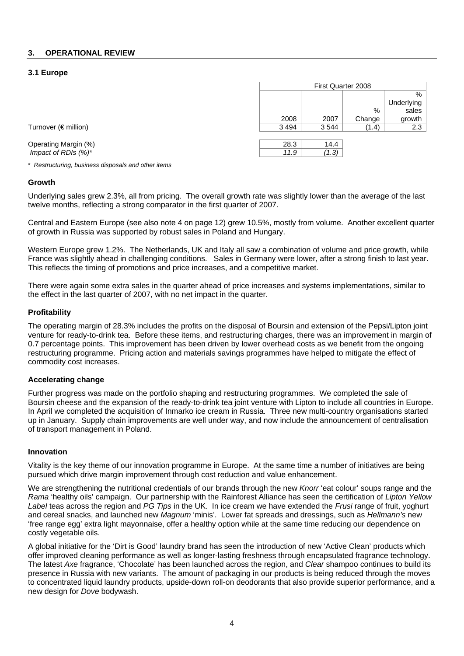# **3.1 Europe**

|                              | First Quarter 2008 |       |        |               |
|------------------------------|--------------------|-------|--------|---------------|
|                              |                    |       |        | $\frac{0}{0}$ |
|                              |                    |       |        | Underlying    |
|                              |                    |       | %      | sales         |
|                              | 2008               | 2007  | Change | growth        |
| Turnover ( $\notin$ million) | 3494               | 3544  | (1.4)  | 2.3           |
|                              |                    |       |        |               |
| Operating Margin (%)         | 28.3               | 14.4  |        |               |
| Impact of RDIs $(\%)^*$      | 11.9               | (1.3) |        |               |

\* *Restructuring, business disposals and other items* 

### **Growth**

Underlying sales grew 2.3%, all from pricing. The overall growth rate was slightly lower than the average of the last twelve months, reflecting a strong comparator in the first quarter of 2007.

Central and Eastern Europe (see also note 4 on page 12) grew 10.5%, mostly from volume. Another excellent quarter of growth in Russia was supported by robust sales in Poland and Hungary.

Western Europe grew 1.2%. The Netherlands, UK and Italy all saw a combination of volume and price growth, while France was slightly ahead in challenging conditions. Sales in Germany were lower, after a strong finish to last year. This reflects the timing of promotions and price increases, and a competitive market.

There were again some extra sales in the quarter ahead of price increases and systems implementations, similar to the effect in the last quarter of 2007, with no net impact in the quarter.

### **Profitability**

The operating margin of 28.3% includes the profits on the disposal of Boursin and extension of the Pepsi/Lipton joint venture for ready-to-drink tea. Before these items, and restructuring charges, there was an improvement in margin of 0.7 percentage points. This improvement has been driven by lower overhead costs as we benefit from the ongoing restructuring programme. Pricing action and materials savings programmes have helped to mitigate the effect of commodity cost increases.

### **Accelerating change**

Further progress was made on the portfolio shaping and restructuring programmes. We completed the sale of Boursin cheese and the expansion of the ready-to-drink tea joint venture with Lipton to include all countries in Europe. In April we completed the acquisition of Inmarko ice cream in Russia. Three new multi-country organisations started up in January. Supply chain improvements are well under way, and now include the announcement of centralisation of transport management in Poland.

### **Innovation**

Vitality is the key theme of our innovation programme in Europe. At the same time a number of initiatives are being pursued which drive margin improvement through cost reduction and value enhancement.

We are strengthening the nutritional credentials of our brands through the new *Knorr* 'eat colour' soups range and the *Rama* 'healthy oils' campaign. Our partnership with the Rainforest Alliance has seen the certification of *Lipton Yellow Label* teas across the region and *PG Tips* in the UK. In ice cream we have extended the *Frusi* range of fruit, yoghurt and cereal snacks, and launched new *Magnum* 'minis'. Lower fat spreads and dressings, such as *Hellmann's* new 'free range egg' extra light mayonnaise, offer a healthy option while at the same time reducing our dependence on costly vegetable oils.

A global initiative for the 'Dirt is Good' laundry brand has seen the introduction of new 'Active Clean' products which offer improved cleaning performance as well as longer-lasting freshness through encapsulated fragrance technology. The latest *Axe* fragrance, 'Chocolate' has been launched across the region, and *Clear* shampoo continues to build its presence in Russia with new variants. The amount of packaging in our products is being reduced through the moves to concentrated liquid laundry products, upside-down roll-on deodorants that also provide superior performance, and a new design for *Dove* bodywash.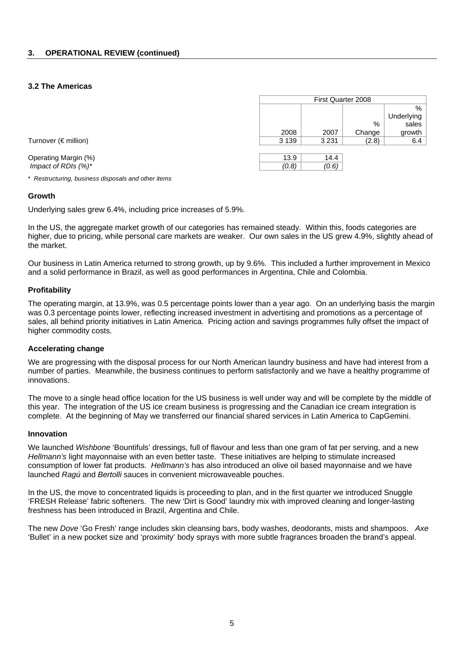### **3.2 The Americas**

Turnover (€ million)

| First Quarter 2008 |         |        |            |  |
|--------------------|---------|--------|------------|--|
|                    |         |        | %          |  |
|                    |         |        | Underlying |  |
|                    |         | %      | sales      |  |
| 2008               | 2007    | Change | growth     |  |
| 3 1 3 9            | 3 2 3 1 | (2.8)  | 6.4        |  |
|                    |         |        |            |  |
| 13.9               | 14.4    |        |            |  |
| (0.8)              | (0.6)   |        |            |  |

Operating Margin (%)  *Impact of RDIs (%)\** 

\* *Restructuring, business disposals and other items* 

#### **Growth**

Underlying sales grew 6.4%, including price increases of 5.9%.

In the US, the aggregate market growth of our categories has remained steady. Within this, foods categories are higher, due to pricing, while personal care markets are weaker. Our own sales in the US grew 4.9%, slightly ahead of the market.

Our business in Latin America returned to strong growth, up by 9.6%. This included a further improvement in Mexico and a solid performance in Brazil, as well as good performances in Argentina, Chile and Colombia.

### **Profitability**

The operating margin, at 13.9%, was 0.5 percentage points lower than a year ago. On an underlying basis the margin was 0.3 percentage points lower, reflecting increased investment in advertising and promotions as a percentage of sales, all behind priority initiatives in Latin America. Pricing action and savings programmes fully offset the impact of higher commodity costs.

### **Accelerating change**

We are progressing with the disposal process for our North American laundry business and have had interest from a number of parties. Meanwhile, the business continues to perform satisfactorily and we have a healthy programme of innovations.

The move to a single head office location for the US business is well under way and will be complete by the middle of this year. The integration of the US ice cream business is progressing and the Canadian ice cream integration is complete. At the beginning of May we transferred our financial shared services in Latin America to CapGemini.

#### **Innovation**

We launched *Wishbone* 'Bountifuls' dressings, full of flavour and less than one gram of fat per serving, and a new *Hellmann's* light mayonnaise with an even better taste. These initiatives are helping to stimulate increased consumption of lower fat products. *Hellmann's* has also introduced an olive oil based mayonnaise and we have launched *Ragú* and *Bertolli* sauces in convenient microwaveable pouches.

In the US, the move to concentrated liquids is proceeding to plan, and in the first quarter we introduced Snuggle 'FRESH Release' fabric softeners. The new 'Dirt is Good' laundry mix with improved cleaning and longer-lasting freshness has been introduced in Brazil, Argentina and Chile.

The new *Dove* 'Go Fresh' range includes skin cleansing bars, body washes, deodorants, mists and shampoos. *Axe*  'Bullet' in a new pocket size and 'proximity' body sprays with more subtle fragrances broaden the brand's appeal.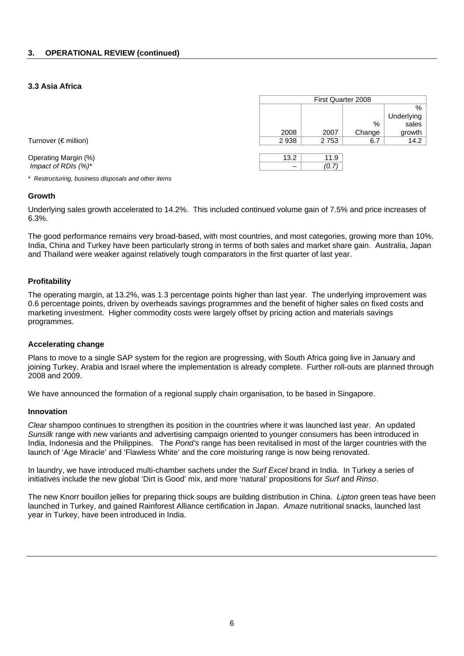# **3.3 Asia Africa**

| <b>First Quarter 2008</b> |      |        |            |  |  |
|---------------------------|------|--------|------------|--|--|
|                           |      |        | %          |  |  |
|                           |      |        | Underlying |  |  |
|                           |      | $\%$   | sales      |  |  |
| 2008                      | 2007 | Change | growth     |  |  |
| 2938                      | 2753 | 6.7    | 14.2       |  |  |
|                           |      |        |            |  |  |
| 13.2                      | 11.9 |        |            |  |  |
|                           |      |        |            |  |  |

Turnover (€ million)

Operating Margin (%)  *Impact of RDIs (%)\** 

\* *Restructuring, business disposals and other items* 

### **Growth**

Underlying sales growth accelerated to 14.2%. This included continued volume gain of 7.5% and price increases of 6.3%.

The good performance remains very broad-based, with most countries, and most categories, growing more than 10%. India, China and Turkey have been particularly strong in terms of both sales and market share gain. Australia, Japan and Thailand were weaker against relatively tough comparators in the first quarter of last year.

### **Profitability**

The operating margin, at 13.2%, was 1.3 percentage points higher than last year. The underlying improvement was 0.6 percentage points, driven by overheads savings programmes and the benefit of higher sales on fixed costs and marketing investment. Higher commodity costs were largely offset by pricing action and materials savings programmes.

### **Accelerating change**

Plans to move to a single SAP system for the region are progressing, with South Africa going live in January and joining Turkey, Arabia and Israel where the implementation is already complete. Further roll-outs are planned through 2008 and 2009.

We have announced the formation of a regional supply chain organisation, to be based in Singapore.

#### **Innovation**

*Clear* shampoo continues to strengthen its position in the countries where it was launched last year. An updated *Sunsilk* range with new variants and advertising campaign oriented to younger consumers has been introduced in India, Indonesia and the Philippines. The *Pond's* range has been revitalised in most of the larger countries with the launch of 'Age Miracle' and 'Flawless White' and the core moisturing range is now being renovated.

In laundry, we have introduced multi-chamber sachets under the *Surf Excel* brand in India. In Turkey a series of initiatives include the new global 'Dirt is Good' mix, and more 'natural' propositions for *Surf* and *Rinso*.

The new Knorr bouillon jellies for preparing thick soups are building distribution in China. *Lipton* green teas have been launched in Turkey, and gained Rainforest Alliance certification in Japan. *Amaze* nutritional snacks, launched last year in Turkey, have been introduced in India.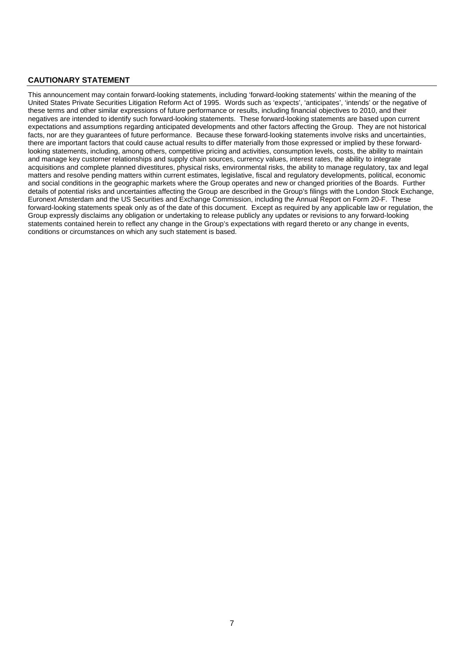# **CAUTIONARY STATEMENT**

 Euronext Amsterdam and the US Securities and Exchange Commission, including the Annual Report on Form 20-F. These This announcement may contain forward-looking statements, including 'forward-looking statements' within the meaning of the United States Private Securities Litigation Reform Act of 1995. Words such as 'expects', 'anticipates', 'intends' or the negative of these terms and other similar expressions of future performance or results, including financial objectives to 2010, and their negatives are intended to identify such forward-looking statements. These forward-looking statements are based upon current expectations and assumptions regarding anticipated developments and other factors affecting the Group. They are not historical facts, nor are they guarantees of future performance. Because these forward-looking statements involve risks and uncertainties, there are important factors that could cause actual results to differ materially from those expressed or implied by these forwardlooking statements, including, among others, competitive pricing and activities, consumption levels, costs, the ability to maintain and manage key customer relationships and supply chain sources, currency values, interest rates, the ability to integrate acquisitions and complete planned divestitures, physical risks, environmental risks, the ability to manage regulatory, tax and legal matters and resolve pending matters within current estimates, legislative, fiscal and regulatory developments, political, economic and social conditions in the geographic markets where the Group operates and new or changed priorities of the Boards. Further details of potential risks and uncertainties affecting the Group are described in the Group's filings with the London Stock Exchange, forward-looking statements speak only as of the date of this document. Except as required by any applicable law or regulation, the Group expressly disclaims any obligation or undertaking to release publicly any updates or revisions to any forward-looking statements contained herein to reflect any change in the Group's expectations with regard thereto or any change in events, conditions or circumstances on which any such statement is based.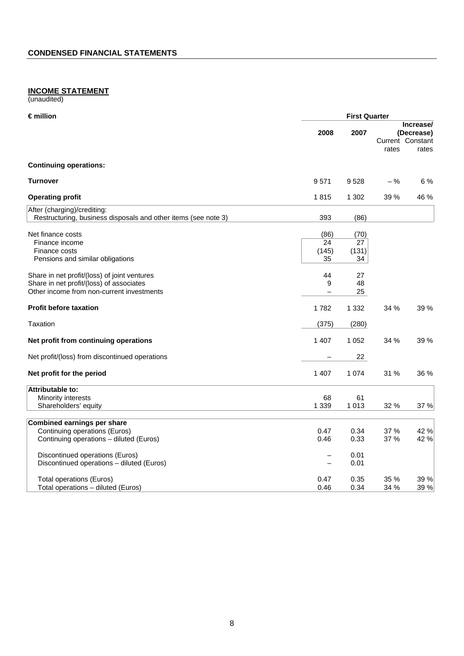#### **INCOME STATEMENT**

(unaudited)

| €million                                                                                                                              |                           | <b>First Quarter</b>      |              |                                                      |  |
|---------------------------------------------------------------------------------------------------------------------------------------|---------------------------|---------------------------|--------------|------------------------------------------------------|--|
|                                                                                                                                       | 2008                      | 2007                      | rates        | Increase/<br>(Decrease)<br>Current Constant<br>rates |  |
| <b>Continuing operations:</b>                                                                                                         |                           |                           |              |                                                      |  |
| <b>Turnover</b>                                                                                                                       | 9571                      | 9528                      | $-$ %        | 6 %                                                  |  |
| <b>Operating profit</b>                                                                                                               | 1815                      | 1 302                     | 39 %         | 46 %                                                 |  |
| After (charging)/crediting:<br>Restructuring, business disposals and other items (see note 3)                                         | 393                       | (86)                      |              |                                                      |  |
| Net finance costs<br>Finance income<br>Finance costs<br>Pensions and similar obligations                                              | (86)<br>24<br>(145)<br>35 | (70)<br>27<br>(131)<br>34 |              |                                                      |  |
| Share in net profit/(loss) of joint ventures<br>Share in net profit/(loss) of associates<br>Other income from non-current investments | 44<br>9<br>$\equiv$       | 27<br>48<br>25            |              |                                                      |  |
| <b>Profit before taxation</b>                                                                                                         | 1782                      | 1 3 3 2                   | 34 %         | 39 %                                                 |  |
| Taxation                                                                                                                              | (375)                     | (280)                     |              |                                                      |  |
| Net profit from continuing operations                                                                                                 | 1 407                     | 1 0 5 2                   | 34 %         | 39 %                                                 |  |
| Net profit/(loss) from discontinued operations                                                                                        |                           | 22                        |              |                                                      |  |
| Net profit for the period                                                                                                             | 1 4 0 7                   | 1 0 7 4                   | 31 %         | 36 %                                                 |  |
| Attributable to:<br>Minority interests<br>Shareholders' equity                                                                        | 68<br>1 3 3 9             | 61<br>1 0 1 3             | 32 %         | 37 %                                                 |  |
| <b>Combined earnings per share</b><br>Continuing operations (Euros)<br>Continuing operations - diluted (Euros)                        | 0.47<br>0.46              | 0.34<br>0.33              | 37 %<br>37 % | 42 %<br>42 %                                         |  |
| Discontinued operations (Euros)<br>Discontinued operations - diluted (Euros)                                                          | $\qquad \qquad -$         | 0.01<br>0.01              |              |                                                      |  |
| <b>Total operations (Euros)</b><br>Total operations - diluted (Euros)                                                                 | 0.47<br>0.46              | 0.35<br>0.34              | 35 %<br>34 % | 39 %<br>39 %                                         |  |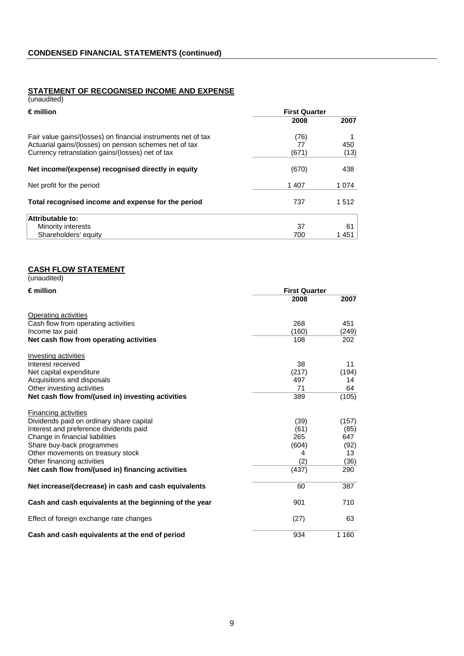# **STATEMENT OF RECOGNISED INCOME AND EXPENSE**

| (unaudited) |
|-------------|
|-------------|

| $\epsilon$ million                                                                                                                                                          | <b>First Quarter</b> |             |  |  |
|-----------------------------------------------------------------------------------------------------------------------------------------------------------------------------|----------------------|-------------|--|--|
|                                                                                                                                                                             | 2008                 | 2007        |  |  |
| Fair value gains/(losses) on financial instruments net of tax<br>Actuarial gains/(losses) on pension schemes net of tax<br>Currency retranslation gains/(losses) net of tax | (76)<br>77<br>(671)  | 450<br>(13) |  |  |
| Net income/(expense) recognised directly in equity                                                                                                                          | (670)                | 438         |  |  |
| Net profit for the period                                                                                                                                                   | 1407                 | 1 0 7 4     |  |  |
| Total recognised income and expense for the period                                                                                                                          | 737                  | 1512        |  |  |
| Attributable to:                                                                                                                                                            |                      |             |  |  |
| Minority interests                                                                                                                                                          | 37                   | 61          |  |  |
| Shareholders' equity                                                                                                                                                        | 700                  | 1451        |  |  |

# **CASH FLOW STATEMENT**

|  | (unaudited) |  |
|--|-------------|--|
|  |             |  |

| $\epsilon$ million                                     | <b>First Quarter</b> |         |  |
|--------------------------------------------------------|----------------------|---------|--|
|                                                        | 2008                 | 2007    |  |
| Operating activities                                   |                      |         |  |
| Cash flow from operating activities                    | 268                  | 451     |  |
| Income tax paid                                        | (160)                | (249)   |  |
| Net cash flow from operating activities                | 108                  | 202     |  |
| Investing activities                                   |                      |         |  |
| Interest received                                      | 38                   | 11      |  |
| Net capital expenditure                                | (217)                | (194)   |  |
| Acquisitions and disposals                             | 497                  | 14      |  |
| Other investing activities                             | 71                   | 64      |  |
| Net cash flow from/(used in) investing activities      | 389                  | (105)   |  |
| Financing activities                                   |                      |         |  |
| Dividends paid on ordinary share capital               | (39)                 | (157)   |  |
| Interest and preference dividends paid                 | (61)                 | (85)    |  |
| Change in financial liabilities                        | 265                  | 647     |  |
| Share buy-back programmes                              | (604)                | (92)    |  |
| Other movements on treasury stock                      | 4                    | 13      |  |
| Other financing activities                             | (2)                  | (36)    |  |
| Net cash flow from/(used in) financing activities      | (437)                | 290     |  |
| Net increase/(decrease) in cash and cash equivalents   | 60                   | 387     |  |
| Cash and cash equivalents at the beginning of the year | 901                  | 710     |  |
| Effect of foreign exchange rate changes                | (27)                 | 63      |  |
| Cash and cash equivalents at the end of period         | 934                  | 1 1 6 0 |  |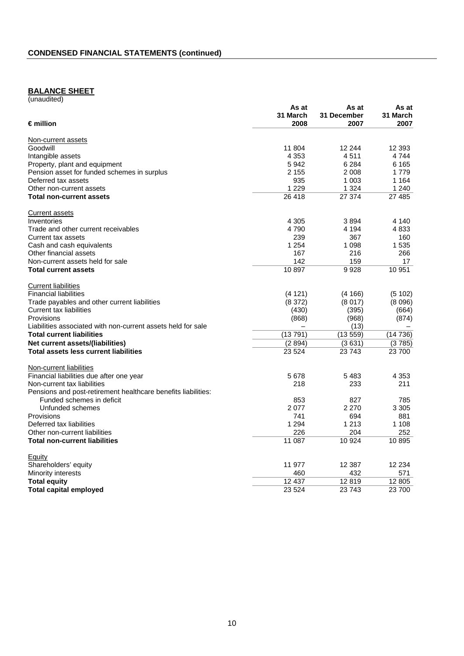#### **BALANCE SHEET**

(unaudited)

|                                                               | As at    | As at              | As at    |
|---------------------------------------------------------------|----------|--------------------|----------|
|                                                               | 31 March | <b>31 December</b> | 31 March |
| $\epsilon$ million                                            | 2008     | 2007               | 2007     |
|                                                               |          |                    |          |
| Non-current assets                                            |          |                    |          |
| Goodwill                                                      | 11 804   | 12 244             | 12 3 9 3 |
| Intangible assets                                             | 4 3 5 3  | 4511               | 4 744    |
| Property, plant and equipment                                 | 5942     | 6 2 8 4            | 6 1 6 5  |
| Pension asset for funded schemes in surplus                   | 2 1 5 5  | 2 0 0 8            | 1 7 7 9  |
| Deferred tax assets                                           | 935      | 1 0 0 3            | 1 1 6 4  |
| Other non-current assets                                      | 1 2 2 9  | 1 3 2 4            | 1 240    |
| <b>Total non-current assets</b>                               | 26 418   | 27 374             | 27 485   |
| <b>Current assets</b>                                         |          |                    |          |
| Inventories                                                   | 4 3 0 5  | 3894               | 4 1 4 0  |
| Trade and other current receivables                           | 4790     | 4 1 9 4            | 4833     |
| Current tax assets                                            | 239      | 367                | 160      |
| Cash and cash equivalents                                     | 1 2 5 4  | 1 0 9 8            | 1 535    |
| Other financial assets                                        | 167      | 216                | 266      |
| Non-current assets held for sale                              | 142      | 159                | 17       |
| <b>Total current assets</b>                                   | 10897    | 9928               | 10 951   |
| <b>Current liabilities</b>                                    |          |                    |          |
| <b>Financial liabilities</b>                                  | (4121)   | (4166)             | (5102)   |
| Trade payables and other current liabilities                  | (8372)   | (8017)             | (8096)   |
| <b>Current tax liabilities</b>                                | (430)    | (395)              | (664)    |
| Provisions                                                    | (868)    | (968)              | (874)    |
| Liabilities associated with non-current assets held for sale  |          | (13)               |          |
| <b>Total current liabilities</b>                              | (13791)  | (13559)            | (14736)  |
| Net current assets/(liabilities)                              | (2894)   | (3631)             | (3785)   |
| <b>Total assets less current liabilities</b>                  | 23 5 24  | 23 743             | 23700    |
|                                                               |          |                    |          |
| Non-current liabilities                                       |          |                    |          |
| Financial liabilities due after one year                      | 5678     | 5483               | 4 3 5 3  |
| Non-current tax liabilities                                   | 218      | 233                | 211      |
| Pensions and post-retirement healthcare benefits liabilities: |          |                    |          |
| Funded schemes in deficit                                     | 853      | 827                | 785      |
| Unfunded schemes                                              | 2077     | 2 2 7 0            | 3 3 0 5  |
| Provisions                                                    | 741      | 694                | 881      |
| Deferred tax liabilities                                      | 1 2 9 4  | 1 2 1 3            | 1 1 0 8  |
| Other non-current liabilities                                 | 226      | 204                | 252      |
| <b>Total non-current liabilities</b>                          | 11 087   | 10 9 24            | 10895    |
| Equity                                                        |          |                    |          |
| Shareholders' equity                                          | 11 977   | 12 3 8 7           | 12 2 34  |
| Minority interests                                            | 460      | 432                | 571      |
| <b>Total equity</b>                                           | 12 437   | 12819              | 12 805   |
| <b>Total capital employed</b>                                 | 23 5 24  | 23 743             | 23 700   |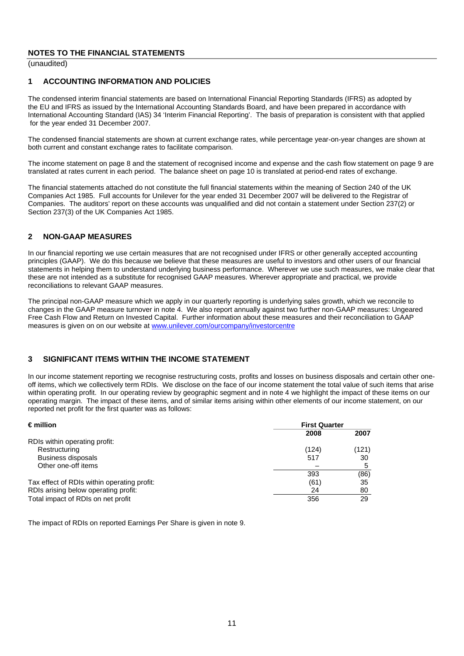### **NOTES TO THE FINANCIAL STATEMENTS**

(unaudited)

# **1 ACCOUNTING INFORMATION AND POLICIES**

The condensed interim financial statements are based on International Financial Reporting Standards (IFRS) as adopted by the EU and IFRS as issued by the International Accounting Standards Board, and have been prepared in accordance with International Accounting Standard (IAS) 34 'Interim Financial Reporting'. The basis of preparation is consistent with that applied for the year ended 31 December 2007.

The condensed financial statements are shown at current exchange rates, while percentage year-on-year changes are shown at both current and constant exchange rates to facilitate comparison.

The income statement on page 8 and the statement of recognised income and expense and the cash flow statement on page 9 are translated at rates current in each period. The balance sheet on page 10 is translated at period-end rates of exchange.

The financial statements attached do not constitute the full financial statements within the meaning of Section 240 of the UK Companies Act 1985. Full accounts for Unilever for the year ended 31 December 2007 will be delivered to the Registrar of Companies. The auditors' report on these accounts was unqualified and did not contain a statement under Section 237(2) or Section 237(3) of the UK Companies Act 1985.

# **2 NON-GAAP MEASURES**

In our financial reporting we use certain measures that are not recognised under IFRS or other generally accepted accounting principles (GAAP). We do this because we believe that these measures are useful to investors and other users of our financial statements in helping them to understand underlying business performance. Wherever we use such measures, we make clear that these are not intended as a substitute for recognised GAAP measures. Wherever appropriate and practical, we provide reconciliations to relevant GAAP measures.

 The principal non-GAAP measure which we apply in our quarterly reporting is underlying sales growth, which we reconcile to changes in the GAAP measure turnover in note 4. We also report annually against two further non-GAAP measures: Ungeared Free Cash Flow and Return on Invested Capital. Further information about these measures and their reconciliation to GAAP measures is given on on our website at www.unilever.com/ourcompany/investorcentre

# **3 SIGNIFICANT ITEMS WITHIN THE INCOME STATEMENT**

 within operating profit. In our operating review by geographic segment and in note 4 we highlight the impact of these items on our In our income statement reporting we recognise restructuring costs, profits and losses on business disposals and certain other oneoff items, which we collectively term RDIs. We disclose on the face of our income statement the total value of such items that arise operating margin. The impact of these items, and of similar items arising within other elements of our income statement, on our reported net profit for the first quarter was as follows:

| $\epsilon$ million                          | <b>First Quarter</b> |       |  |
|---------------------------------------------|----------------------|-------|--|
|                                             | 2008                 | 2007  |  |
| RDIs within operating profit:               |                      |       |  |
| Restructuring                               | (124)                | (121) |  |
| Business disposals                          | 517                  | 30    |  |
| Other one-off items                         |                      | 5     |  |
|                                             | 393                  | (86)  |  |
| Tax effect of RDIs within operating profit: | (61)                 | 35    |  |
| RDIs arising below operating profit:        | 24                   | 80    |  |
| Total impact of RDIs on net profit          | 356                  | 29    |  |

The impact of RDIs on reported Earnings Per Share is given in note 9.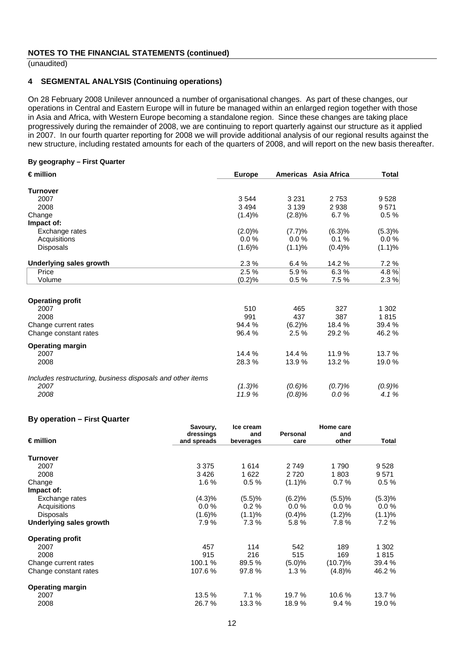(unaudited)

# **4 SEGMENTAL ANALYSIS (Continuing operations)**

On 28 February 2008 Unilever announced a number of organisational changes. As part of these changes, our operations in Central and Eastern Europe will in future be managed within an enlarged region together with those in Asia and Africa, with Western Europe becoming a standalone region. Since these changes are taking place progressively during the remainder of 2008, we are continuing to report quarterly against our structure as it applied in 2007. In our fourth quarter reporting for 2008 we will provide additional analysis of our regional results against the new structure, including restated amounts for each of the quarters of 2008, and will report on the new basis thereafter.

### **By geography – First Quarter**

| $\epsilon$ million                                         | <b>Europe</b> |         | Americas Asia Africa | <b>Total</b> |
|------------------------------------------------------------|---------------|---------|----------------------|--------------|
| <b>Turnover</b>                                            |               |         |                      |              |
| 2007                                                       | 3544          | 3 2 3 1 | 2753                 | 9528         |
| 2008                                                       | 3 4 9 4       | 3 1 3 9 | 2938                 | 9571         |
| Change                                                     | (1.4)%        | (2.8)%  | 6.7%                 | 0.5%         |
| Impact of:                                                 |               |         |                      |              |
| Exchange rates                                             | (2.0)%        | (7.7)%  | (6.3)%               | (5.3)%       |
| Acquisitions                                               | 0.0%          | 0.0%    | 0.1%                 | 0.0%         |
| <b>Disposals</b>                                           | (1.6)%        | (1.1)%  | (0.4)%               | (1.1)%       |
| Underlying sales growth                                    | 2.3%          | 6.4%    | 14.2 %               | 7.2 %        |
| Price                                                      | 2.5 %         | 5.9%    | 6.3%                 | 4.8%         |
| Volume                                                     | (0.2)%        | 0.5%    | 7.5%                 | 2.3 %        |
| <b>Operating profit</b>                                    |               |         |                      |              |
| 2007                                                       | 510           | 465     | 327                  | 1 302        |
| 2008                                                       | 991           | 437     | 387                  | 1815         |
| Change current rates                                       | 94.4 %        | (6.2)%  | 18.4 %               | 39.4 %       |
| Change constant rates                                      | 96.4 %        | 2.5%    | 29.2 %               | 46.2%        |
| <b>Operating margin</b>                                    |               |         |                      |              |
| 2007                                                       | 14.4 %        | 14.4 %  | 11.9%                | 13.7 %       |
| 2008                                                       | 28.3%         | 13.9%   | 13.2 %               | 19.0%        |
| Includes restructuring, business disposals and other items |               |         |                      |              |
| 2007                                                       | $(1.3)\%$     | (0.6)%  | (0.7)%               | (0.9)%       |
| 2008                                                       | 11.9%         | (0.8)%  | 0.0%                 | 4.1%         |

### **By operation – First Quarter**

|                         | Savoury,                 | Ice cream        |                  | Home care    |          |
|-------------------------|--------------------------|------------------|------------------|--------------|----------|
| $\epsilon$ million      | dressings<br>and spreads | and<br>beverages | Personal<br>care | and<br>other | Total    |
| <b>Turnover</b>         |                          |                  |                  |              |          |
| 2007                    | 3 3 7 5                  | 1614             | 2 7 4 9          | 1790         | 9528     |
| 2008                    | 3426                     | 1622             | 2 7 2 0          | 1803         | 9571     |
| Change                  | 1.6%                     | 0.5%             | (1.1)%           | 0.7%         | 0.5%     |
| Impact of:              |                          |                  |                  |              |          |
| Exchange rates          | (4.3)%                   | (5.5)%           | (6.2)%           | (5.5)%       | (5.3)%   |
| Acquisitions            | $0.0\%$                  | $0.2 \%$         | $0.0 \%$         | $0.0 \%$     | $0.0 \%$ |
| <b>Disposals</b>        | (1.6)%                   | (1.1)%           | (0.4)%           | (1.2)%       | (1.1)%   |
| Underlying sales growth | 7.9%                     | 7.3%             | 5.8%             | 7.8%         | 7.2%     |
| <b>Operating profit</b> |                          |                  |                  |              |          |
| 2007                    | 457                      | 114              | 542              | 189          | 1 302    |
| 2008                    | 915                      | 216              | 515              | 169          | 1815     |
| Change current rates    | 100.1 %                  | 89.5 %           | (5.0)%           | $(10.7)\%$   | 39.4 %   |
| Change constant rates   | 107.6%                   | 97.8%            | 1.3%             | (4.8)%       | 46.2%    |
| <b>Operating margin</b> |                          |                  |                  |              |          |
| 2007                    | 13.5 %                   | 7.1%             | 19.7 %           | 10.6%        | 13.7 %   |
| 2008                    | 26.7%                    | 13.3 %           | 18.9%            | 9.4%         | 19.0 %   |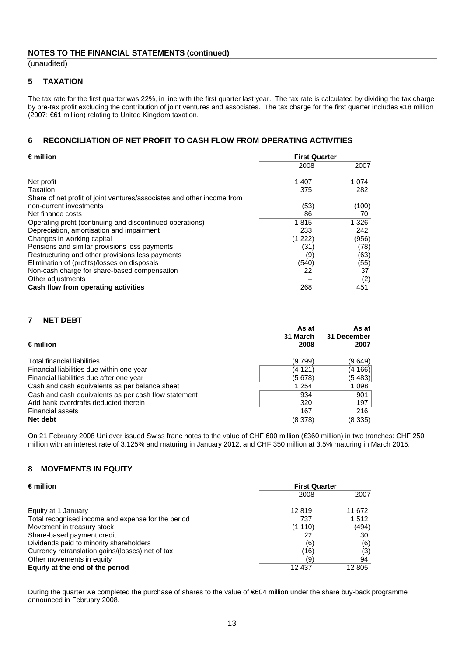(unaudited)

# **5 TAXATION**

The tax rate for the first quarter was 22%, in line with the first quarter last year. The tax rate is calculated by dividing the tax charge by pre-tax profit excluding the contribution of joint ventures and associates. The tax charge for the first quarter includes €18 million (2007: €61 million) relating to United Kingdom taxation.

# **6 RECONCILIATION OF NET PROFIT TO CASH FLOW FROM OPERATING ACTIVITIES**

| $\epsilon$ million                                                     | <b>First Quarter</b> |         |
|------------------------------------------------------------------------|----------------------|---------|
|                                                                        | 2008                 | 2007    |
| Net profit                                                             | 1407                 | 1 0 7 4 |
| Taxation                                                               | 375                  | 282     |
| Share of net profit of joint ventures/associates and other income from |                      |         |
| non-current investments                                                | (53)                 | (100)   |
| Net finance costs                                                      | 86                   | 70      |
| Operating profit (continuing and discontinued operations)              | 1815                 | 1 3 2 6 |
| Depreciation, amortisation and impairment                              | 233                  | 242     |
| Changes in working capital                                             | (1 222)              | (956)   |
| Pensions and similar provisions less payments                          | (31)                 | (78)    |
| Restructuring and other provisions less payments                       | (9)                  | (63)    |
| Elimination of (profits)/losses on disposals                           | (540)                | (55)    |
| Non-cash charge for share-based compensation                           | 22                   | 37      |
| Other adjustments                                                      |                      | (2)     |
| Cash flow from operating activities                                    | 268                  | 451     |

# **7 NET DEBT**

| $\epsilon$ million                                   | As at<br>31 March<br>2008 | As at<br>31 December<br>2007 |
|------------------------------------------------------|---------------------------|------------------------------|
| Total financial liabilities                          | (9 799)                   | (9 649)                      |
| Financial liabilities due within one year            | (4 121)                   | (4 166)                      |
| Financial liabilities due after one year             | (5 678)                   | (5 483)                      |
| Cash and cash equivalents as per balance sheet       | 1 254                     | 1 098                        |
| Cash and cash equivalents as per cash flow statement | 934                       | 901                          |
| Add bank overdrafts deducted therein                 | 320                       | 197                          |
| <b>Financial assets</b>                              | 167                       | 216                          |
| Net debt                                             | (8 378)                   | (8 335)                      |

On 21 February 2008 Unilever issued Swiss franc notes to the value of CHF 600 million (€360 million) in two tranches: CHF 250 million with an interest rate of 3.125% and maturing in January 2012, and CHF 350 million at 3.5% maturing in March 2015.

# **8 MOVEMENTS IN EQUITY**

| $\epsilon$ million                                 | <b>First Quarter</b> |        |
|----------------------------------------------------|----------------------|--------|
|                                                    | 2008                 | 2007   |
| Equity at 1 January                                | 12819                | 11 672 |
| Total recognised income and expense for the period | 737                  | 1512   |
| Movement in treasury stock                         | (1110)               | (494)  |
| Share-based payment credit                         | 22                   | 30     |
| Dividends paid to minority shareholders            | (6)                  | (6)    |
| Currency retranslation gains/(losses) net of tax   | (16)                 | (3)    |
| Other movements in equity                          | (9)                  | 94     |
| Equity at the end of the period                    | 12 437               | 12 805 |

During the quarter we completed the purchase of shares to the value of €604 million under the share buy-back programme announced in February 2008.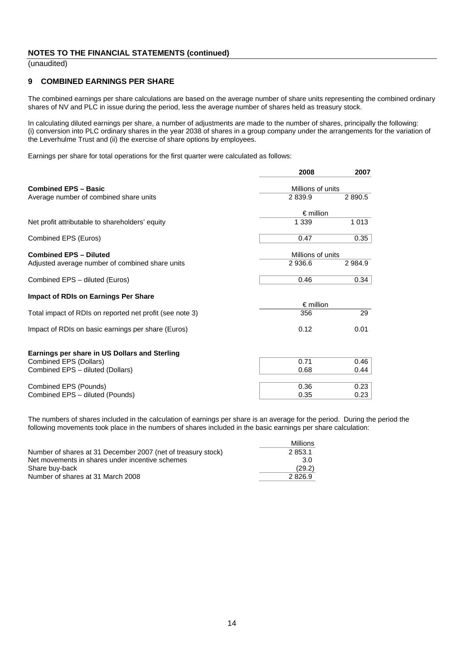(unaudited)

# **9 COMBINED EARNINGS PER SHARE**

The combined earnings per share calculations are based on the average number of share units representing the combined ordinary shares of NV and PLC in issue during the period, less the average number of shares held as treasury stock.

 In calculating diluted earnings per share, a number of adjustments are made to the number of shares, principally the following: (i) conversion into PLC ordinary shares in the year 2038 of shares in a group company under the arrangements for the variation of the Leverhulme Trust and (ii) the exercise of share options by employees.

Earnings per share for total operations for the first quarter were calculated as follows:

|                                                          | 2008               | 2007              |  |
|----------------------------------------------------------|--------------------|-------------------|--|
| <b>Combined EPS - Basic</b>                              |                    | Millions of units |  |
| Average number of combined share units                   | 2839.9             | 2 890.5           |  |
|                                                          | $\epsilon$ million |                   |  |
| Net profit attributable to shareholders' equity          | 1 3 3 9            | 1 0 1 3           |  |
| Combined EPS (Euros)                                     | 0.47               | 0.35              |  |
| <b>Combined EPS - Diluted</b>                            |                    | Millions of units |  |
| Adjusted average number of combined share units          | 2936.6             | 2 9 8 4 .9        |  |
| Combined EPS - diluted (Euros)                           | 0.46               | 0.34              |  |
| <b>Impact of RDIs on Earnings Per Share</b>              |                    |                   |  |
|                                                          | $\epsilon$ million |                   |  |
| Total impact of RDIs on reported net profit (see note 3) | 356                | 29                |  |
| Impact of RDIs on basic earnings per share (Euros)       | 0.12               | 0.01              |  |
| Earnings per share in US Dollars and Sterling            |                    |                   |  |
| Combined EPS (Dollars)                                   | 0.71               | 0.46              |  |
| Combined EPS - diluted (Dollars)                         | 0.68               | 0.44              |  |
| Combined EPS (Pounds)                                    | 0.36               | 0.23              |  |
| Combined EPS - diluted (Pounds)                          | 0.35               | 0.23              |  |

The numbers of shares included in the calculation of earnings per share is an average for the period. During the period the following movements took place in the numbers of shares included in the basic earnings per share calculation:

|                                                              | Millions |
|--------------------------------------------------------------|----------|
| Number of shares at 31 December 2007 (net of treasury stock) | 2 853.1  |
| Net movements in shares under incentive schemes              | 3.0      |
| Share buy-back                                               | (29.2)   |
| Number of shares at 31 March 2008                            | 2826.9   |